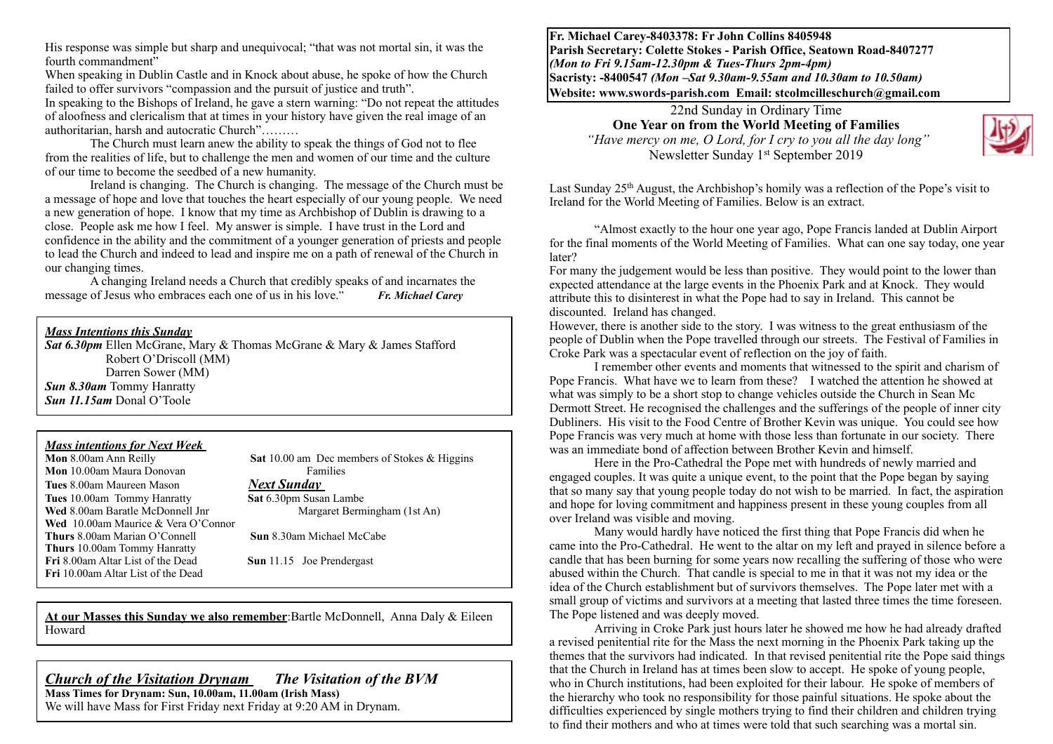His response was simple but sharp and unequivocal; "that was not mortal sin, it was the fourth commandment"

When speaking in Dublin Castle and in Knock about abuse, he spoke of how the Church failed to offer survivors "compassion and the pursuit of justice and truth".

In speaking to the Bishops of Ireland, he gave a stern warning: "Do not repeat the attitudes of aloofness and clericalism that at times in your history have given the real image of an authoritarian, harsh and autocratic Church"………

The Church must learn anew the ability to speak the things of God not to flee from the realities of life, but to challenge the men and women of our time and the culture of our time to become the seedbed of a new humanity.

Ireland is changing. The Church is changing. The message of the Church must be a message of hope and love that touches the heart especially of our young people. We need a new generation of hope. I know that my time as Archbishop of Dublin is drawing to a close. People ask me how I feel. My answer is simple. I have trust in the Lord and confidence in the ability and the commitment of a younger generation of priests and people to lead the Church and indeed to lead and inspire me on a path of renewal of the Church in our changing times.

A changing Ireland needs a Church that credibly speaks of and incarnates the message of Jesus who embraces each one of us in his love." *Fr. Michael Carey*

#### *Mass Intentions this Sunday*

*Sat 6.30pm* Ellen McGrane, Mary & Thomas McGrane & Mary & James Stafford Robert O'Driscoll (MM) Darren Sower (MM) *Sun 8.30am* Tommy Hanratty *Sun 11.15am* Donal O'Toole

# *Mass intentions for Next Week*

**Mon** 10.00am Maura Donovan Families **Tues** 8.00am Maureen Mason *Next Sunday*  **Tues** 10.00am Tommy Hanratty **Sat** 6.30pm Susan Lambe<br> **Wed** 8.00am Baratle McDonnell Jnr Margaret Bermingham (1st An) Wed 8.00am Baratle McDonnell Jnr **Wed** 10.00am Maurice & Vera O'Connor **Thurs** 8.00am Marian O'Connell **Sun** 8.30am Michael McCabe **Thurs** 10.00am Tommy Hanratty **Fri** 8.00am Altar List of the Dead **Sun** 11.15 Joe Prendergast **Fri** 10.00am Altar List of the Dead

**Sat** 10.00 am Dec members of Stokes & Higgins

**At our Masses this Sunday we also remember**:Bartle McDonnell, Anna Daly & Eileen Howard

#### *Church of the Visitation Drynam**The Visitation of the BVM* **Mass Times for Drynam: Sun, 10.00am, 11.00am (Irish Mass)**

We will have Mass for First Friday next Friday at 9:20 AM in Drynam.

**Fr. Michael Carey-8403378: Fr John Collins 8405948 Parish Secretary: Colette Stokes - Parish Office, Seatown Road-8407277**  *(Mon to Fri 9.15am-12.30pm & Tues-Thurs 2pm-4pm)*  **Sacristy: -8400547** *(Mon –Sat 9.30am-9.55am and 10.30am to 10.50am)* **Website: [www.swords-parish.com Email:](http://www.swords-parish.com%20%20email) stcolmcilleschurch@gmail.com**

22nd Sunday in Ordinary Time **One Year on from the World Meeting of Families**   *"Have mercy on me, O Lord, for I cry to you all the day long"*  Newsletter Sunday 1st September 2019



Last Sunday 25<sup>th</sup> August, the Archbishop's homily was a reflection of the Pope's visit to Ireland for the World Meeting of Families. Below is an extract.

"Almost exactly to the hour one year ago, Pope Francis landed at Dublin Airport for the final moments of the World Meeting of Families. What can one say today, one year later?

For many the judgement would be less than positive. They would point to the lower than expected attendance at the large events in the Phoenix Park and at Knock. They would attribute this to disinterest in what the Pope had to say in Ireland. This cannot be discounted. Ireland has changed.

However, there is another side to the story. I was witness to the great enthusiasm of the people of Dublin when the Pope travelled through our streets. The Festival of Families in Croke Park was a spectacular event of reflection on the joy of faith.

I remember other events and moments that witnessed to the spirit and charism of Pope Francis. What have we to learn from these? I watched the attention he showed at what was simply to be a short stop to change vehicles outside the Church in Sean Mc Dermott Street. He recognised the challenges and the sufferings of the people of inner city Dubliners. His visit to the Food Centre of Brother Kevin was unique. You could see how Pope Francis was very much at home with those less than fortunate in our society. There was an immediate bond of affection between Brother Kevin and himself.

Here in the Pro-Cathedral the Pope met with hundreds of newly married and engaged couples. It was quite a unique event, to the point that the Pope began by saying that so many say that young people today do not wish to be married. In fact, the aspiration and hope for loving commitment and happiness present in these young couples from all over Ireland was visible and moving.

Many would hardly have noticed the first thing that Pope Francis did when he came into the Pro-Cathedral. He went to the altar on my left and prayed in silence before a candle that has been burning for some years now recalling the suffering of those who were abused within the Church. That candle is special to me in that it was not my idea or the idea of the Church establishment but of survivors themselves. The Pope later met with a small group of victims and survivors at a meeting that lasted three times the time foreseen. The Pope listened and was deeply moved.

 Arriving in Croke Park just hours later he showed me how he had already drafted a revised penitential rite for the Mass the next morning in the Phoenix Park taking up the themes that the survivors had indicated. In that revised penitential rite the Pope said things that the Church in Ireland has at times been slow to accept. He spoke of young people, who in Church institutions, had been exploited for their labour. He spoke of members of the hierarchy who took no responsibility for those painful situations. He spoke about the difficulties experienced by single mothers trying to find their children and children trying to find their mothers and who at times were told that such searching was a mortal sin.